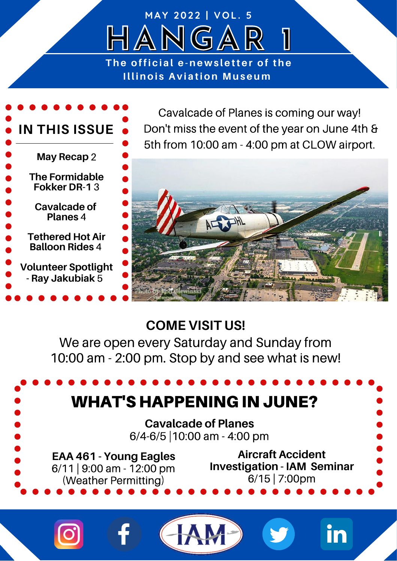## **HANGAR 1** The official e-newsletter of the **Illinois Aviation Museum**

**M A Y 2 0 2 2 | V O L . 5**



Cavalcade of Planes is coming our way! Don't miss the event of the year on June 4th & 5th from 10:00 am - 4:00 pm at CLOW airport.



## **COME VISIT US!**

We are open every Saturday and Sunday from 10:00 am - 2:00 pm. Stop by and see what is new!

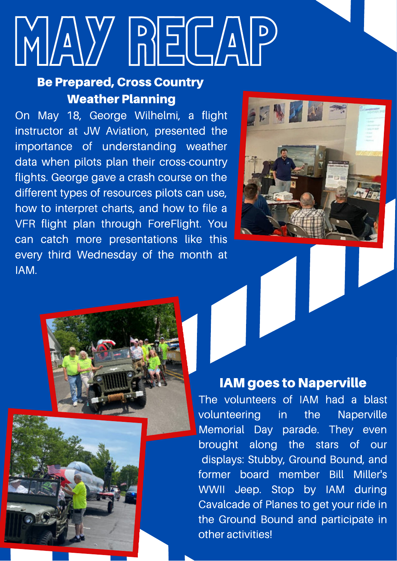# MAY RECAP

## Be Prepared, Cross Country Weather Planning

On May 18, George Wilhelmi, a flight instructor at JW Aviation, presented the importance of understanding weather data when pilots plan their cross-country flights. George gave a crash course on the different types of resources pilots can use, how to interpret charts, and how to file a VFR flight plan through ForeFlight. You can catch more presentations like this every third Wednesday of the month at IAM.



## IAM goes to Naperville

The volunteers of IAM had a blast volunteering in the Naperville Memorial Day parade. They even brought along the stars of our displays: Stubby, Ground Bound, and former board member Bill Miller's WWII Jeep. Stop by IAM during Cavalcade of Planes to get your ride in the Ground Bound and participate in other activities!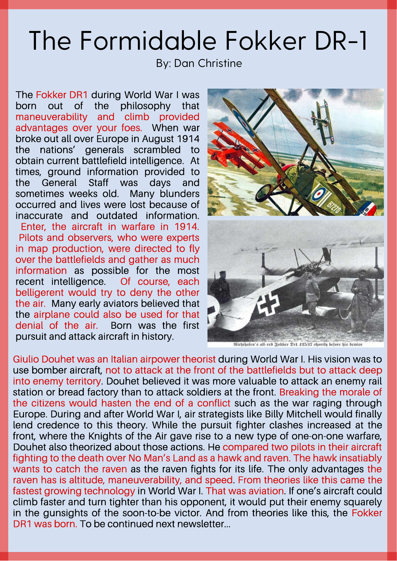# The Formidable Fokker DR-1

By: Dan Christine

The Fokker DR1 during World War I was born out of the philosophy that maneuverability and climb provided advantages over your foes. When war broke out all over Europe in August 1914 the nations' generals scrambled to obtain current battlefield intelligence. At times, ground information provided to the General Staff was days and sometimes weeks old. Many blunders occurred and lives were lost because of inaccurate and outdated information. Enter, the aircraft in warfare in 1914. Pilots and observers, who were experts in map production, were directed to fly over the battlefields and gather as much information as possible for the most recent intelligence. Of course, each belligerent would try to deny the other the air. Many early aviators believed that the airplane could also be used for that denial of the air. Born was the first pursuit and attack aircraft in history.



Richthofen's all-red Folker Dr1 425/17 shortly before his demise

Giulio Douhet was an Italian airpower theorist during World War I. His vision was to use bomber aircraft, not to attack at the front of the battlefields but to attack deep into enemy territory. Douhet believed it was more valuable to attack an enemy rail station or bread factory than to attack soldiers at the front. Breaking the morale of the citizens would hasten the end of a conflict such as the war raging through Europe. During and after World War I, air strategists like Billy Mitchell would finally lend credence to this theory. While the pursuit fighter clashes increased at the front, where the Knights of the Air gave rise to a new type of one-on-one warfare, Douhet also theorized about those actions. He compared two pilots in their aircraft fighting to the death over No Man's Land as a hawk and raven. The hawk insatiably wants to catch the raven as the raven fights for its life. The only advantages the raven has is altitude, maneuverability, and speed. From theories like this came the fastest growing technology in World War I. That was aviation. If one's aircraft could climb faster and turn tighter than his opponent, it would put their enemy squarely in the gunsights of the soon-to-be victor. And from theories like this, the Fokker DR1 was born. To be continued next newsletter...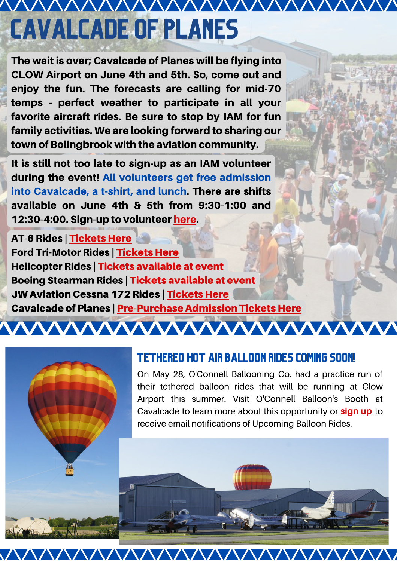## AAAAAAAAAAAAAAAAAAAAAAAAA Cavalcade of Planes

The wait is over; Cavalcade of Planes will be flying into CLOW Airport on June 4th and 5th. So, come out and enjoy the fun. The forecasts are calling for mid-70 temps - perfect weather to participate in all your favorite aircraft rides. Be sure to stop by IAM for fun family activities. We are looking forward to sharing our town of Bolingbrook with the aviation community.

It is still not too late to sign-up as an IAM volunteer during the event! All volunteers get free admission into Cavalcade, a t-shirt, and lunch. There are shifts available on June 4th & 5th from 9:30-1:00 and 12:30-4:00. Sign-up to volunteer [here](https://www.signupgenius.com/go/5080c4baca72aa6fd0-iamcavalcade).

AT-6 Rides | [Tickets](https://warbirds-and-vintage-aircraft-llc.square.site/) Here Ford Tri-Motor Rides | [Tickets](https://www.eaa.org/shop/Flights/FlightRegistration.aspx?ID=2712536) Here Helicopter Rides | Tickets available at event Boeing Stearman Rides | Tickets available at event **JW Aviation Cessna 172 Rides | [Tickets](https://www.signupgenius.com/go/10c0e49afa722a3f9c61-airplane) Here** Cavalcade of Planes | [Pre-Purchase](https://bolingbrook-cavalcade-of-planes.ticketleap.com/bolingbrooks-2022-cavalcade-of-planes/) Admission Tickets Here

**WWWWWWWWWWWWWWW** 



## Tethered Hot Air Balloon Rides Coming Soon!

<u>VVVVVVVVVVVVV</u>

On May 28, O'Connell Ballooning Co. had a practice run of their tethered balloon rides that will be running at Clow Airport this summer. Visit O'Connell Balloon's Booth at Cavalcade to learn more about this opportunity or **[sign up](https://forms.gle/qWxPC2Jj1q2DnmRL6)** to receive email notifications of Upcoming Balloon Rides.